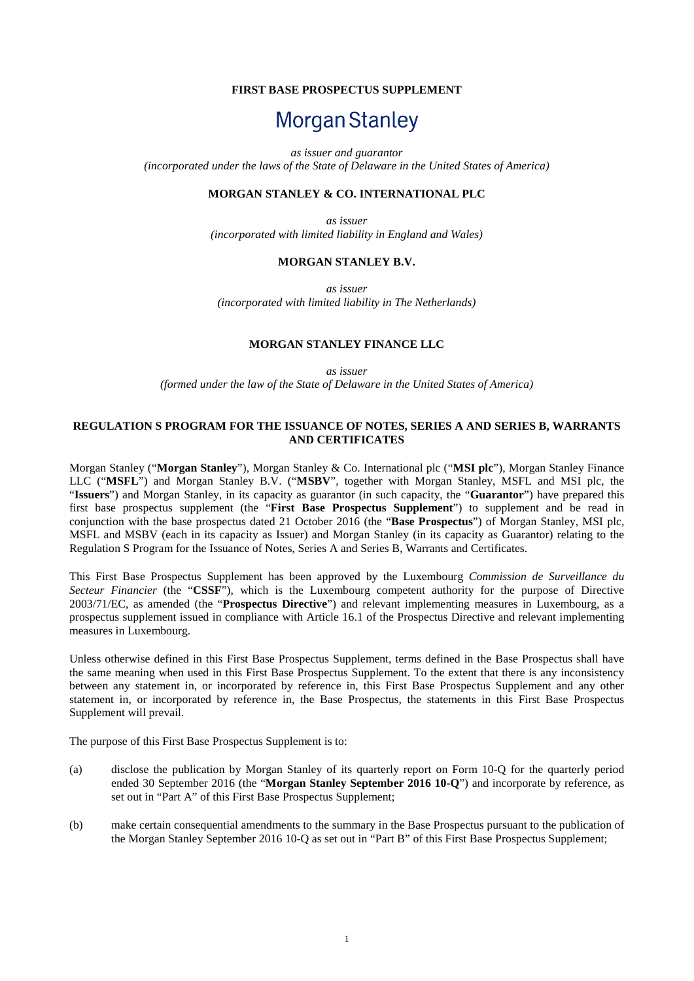## **FIRST BASE PROSPECTUS SUPPLEMENT**

# **Morgan Stanley**

*as issuer and guarantor*

*(incorporated under the laws of the State of Delaware in the United States of America)*

## **MORGAN STANLEY & CO. INTERNATIONAL PLC**

*as issuer (incorporated with limited liability in England and Wales)*

#### **MORGAN STANLEY B.V.**

*as issuer (incorporated with limited liability in The Netherlands)*

#### **MORGAN STANLEY FINANCE LLC**

*as issuer (formed under the law of the State of Delaware in the United States of America)*

#### **REGULATION S PROGRAM FOR THE ISSUANCE OF NOTES, SERIES A AND SERIES B, WARRANTS AND CERTIFICATES**

Morgan Stanley ("**Morgan Stanley**"), Morgan Stanley & Co. International plc ("**MSI plc**"), Morgan Stanley Finance LLC ("**MSFL**") and Morgan Stanley B.V. ("**MSBV**", together with Morgan Stanley, MSFL and MSI plc, the "**Issuers**") and Morgan Stanley, in its capacity as guarantor (in such capacity, the "**Guarantor**") have prepared this first base prospectus supplement (the "**First Base Prospectus Supplement**") to supplement and be read in conjunction with the base prospectus dated 21 October 2016 (the "**Base Prospectus**") of Morgan Stanley, MSI plc, MSFL and MSBV (each in its capacity as Issuer) and Morgan Stanley (in its capacity as Guarantor) relating to the Regulation S Program for the Issuance of Notes, Series A and Series B, Warrants and Certificates.

This First Base Prospectus Supplement has been approved by the Luxembourg *Commission de Surveillance du Secteur Financier* (the "**CSSF**"), which is the Luxembourg competent authority for the purpose of Directive 2003/71/EC, as amended (the "**Prospectus Directive**") and relevant implementing measures in Luxembourg, as a prospectus supplement issued in compliance with Article 16.1 of the Prospectus Directive and relevant implementing measures in Luxembourg.

Unless otherwise defined in this First Base Prospectus Supplement, terms defined in the Base Prospectus shall have the same meaning when used in this First Base Prospectus Supplement. To the extent that there is any inconsistency between any statement in, or incorporated by reference in, this First Base Prospectus Supplement and any other statement in, or incorporated by reference in, the Base Prospectus, the statements in this First Base Prospectus Supplement will prevail.

The purpose of this First Base Prospectus Supplement is to:

- (a) disclose the publication by Morgan Stanley of its quarterly report on Form 10-Q for the quarterly period ended 30 September 2016 (the "**Morgan Stanley September 2016 10-Q**") and incorporate by reference, as set out in "Part A" of this First Base Prospectus Supplement;
- (b) make certain consequential amendments to the summary in the Base Prospectus pursuant to the publication of the Morgan Stanley September 2016 10-Q as set out in "Part B" of this First Base Prospectus Supplement;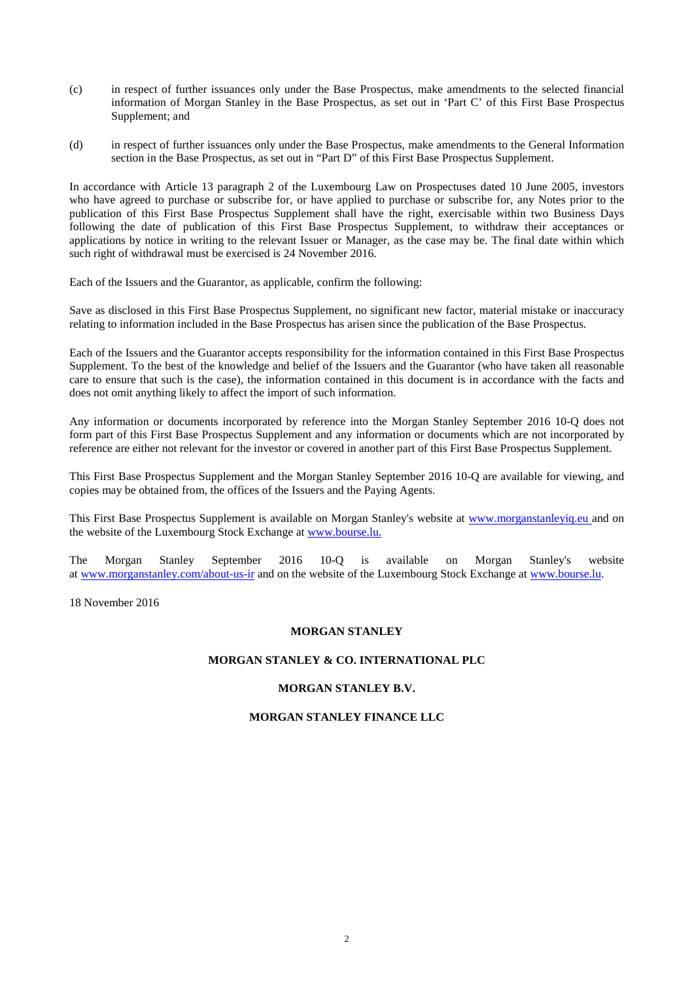- (c) in respect of further issuances only under the Base Prospectus, make amendments to the selected financial information of Morgan Stanley in the Base Prospectus, as set out in 'Part C' of this First Base Prospectus Supplement: and
- (d) in respect of further issuances only under the Base Prospectus, make amendments to the General Information section in the Base Prospectus, as set out in "Part D" of this First Base Prospectus Supplement.

In accordance with Article 13 paragraph 2 of the Luxembourg Law on Prospectuses dated 10 June 2005, investors who have agreed to purchase or subscribe for, or have applied to purchase or subscribe for, any Notes prior to the publication of this First Base Prospectus Supplement shall have the right, exercisable within two Business Days following the date of publication of this First Base Prospectus Supplement, to withdraw their acceptances or applications by notice in writing to the relevant Issuer or Manager, as the case may be. The final date within which such right of withdrawal must be exercised is 24 November 2016.

Each of the Issuers and the Guarantor, as applicable, confirm the following:

Save as disclosed in this First Base Prospectus Supplement, no significant new factor, material mistake or inaccuracy relating to information included in the Base Prospectus has arisen since the publication of the Base Prospectus.

Each of the Issuers and the Guarantor accepts responsibility for the information contained in this First Base Prospectus Supplement. To the best of the knowledge and belief of the Issuers and the Guarantor (who have taken all reasonable care to ensure that such is the case), the information contained in this document is in accordance with the facts and does not omit anything likely to affect the import of such information.

Any information or documents incorporated by reference into the Morgan Stanley September 2016 10-Q does not form part of this First Base Prospectus Supplement and any information or documents which are not incorporated by reference are either not relevant for the investor or covered in another part of this First Base Prospectus Supplement.

This First Base Prospectus Supplement and the Morgan Stanley September 2016 10-Q are available for viewing, and copies may be obtained from, the offices of the Issuers and the Paying Agents.

This First Base Prospectus Supplement is available on Morgan Stanley's website at www.morganstanleyiq.eu and on the website of the Luxembourg Stock Exchange at www.bourse.lu.

The Morgan Stanley September 2016 10-Q is available on Morgan Stanley's website at www.morganstanley.com/about-us-ir and on the website of the Luxembourg Stock Exchange at www.bourse.lu.

18 November 2016

#### **MORGAN STANLEY**

#### **MORGAN STANLEY & CO. INTERNATIONAL PLC**

#### **MORGAN STANLEY B.V.**

#### **MORGAN STANLEY FINANCE LLC**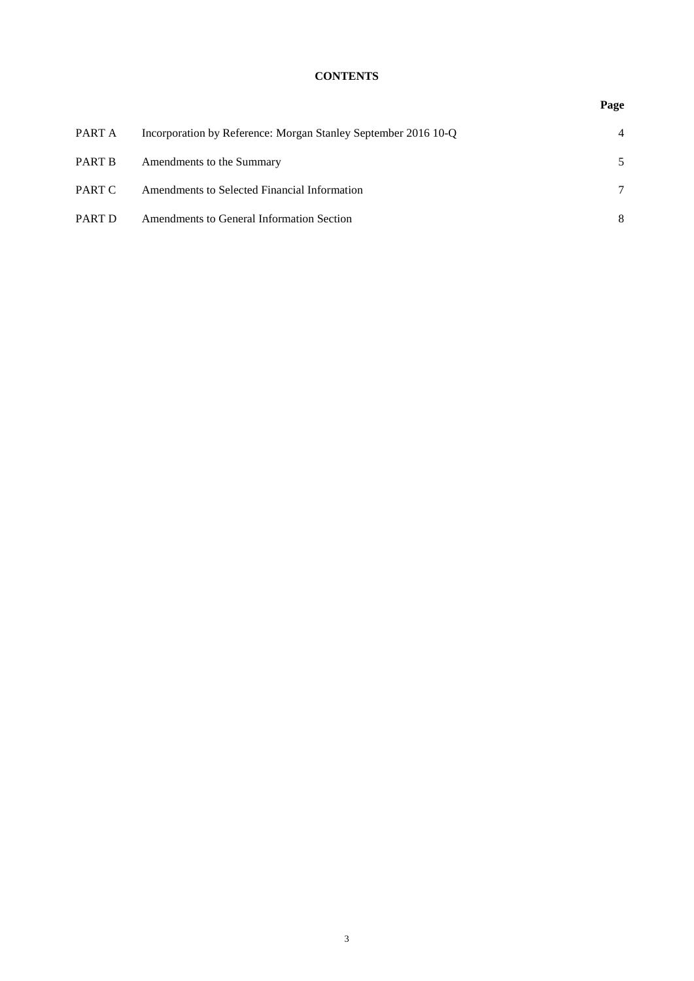# **CONTENTS**

|        |                                                                | Page           |
|--------|----------------------------------------------------------------|----------------|
| PART A | Incorporation by Reference: Morgan Stanley September 2016 10-Q | $\overline{4}$ |
| PART B | Amendments to the Summary                                      | 5              |
| PART C | Amendments to Selected Financial Information                   | 7              |
| PART D | Amendments to General Information Section                      | 8              |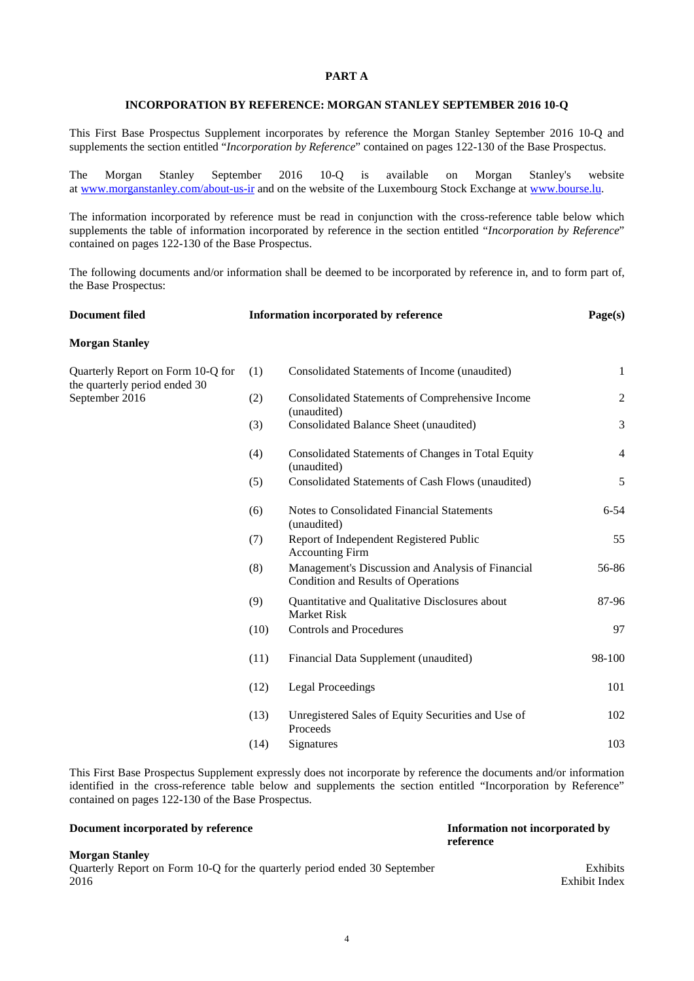## **PART A**

#### **INCORPORATION BY REFERENCE: MORGAN STANLEY SEPTEMBER 2016 10-Q**

This First Base Prospectus Supplement incorporates by reference the Morgan Stanley September 2016 10-Q and supplements the section entitled "*Incorporation by Reference*" contained on pages 122-130 of the Base Prospectus.

The Morgan Stanley September 2016 10-Q is available on Morgan Stanley's website at www.morganstanley.com/about-us-ir and on the website of the Luxembourg Stock Exchange at www.bourse.lu.

The information incorporated by reference must be read in conjunction with the cross-reference table below which supplements the table of information incorporated by reference in the section entitled "*Incorporation by Reference*" contained on pages 122-130 of the Base Prospectus.

The following documents and/or information shall be deemed to be incorporated by reference in, and to form part of, the Base Prospectus:

| Document filed                                                     |      | Information incorporated by reference                                                    | Page(s)        |  |
|--------------------------------------------------------------------|------|------------------------------------------------------------------------------------------|----------------|--|
| <b>Morgan Stanley</b>                                              |      |                                                                                          |                |  |
| Quarterly Report on Form 10-Q for<br>the quarterly period ended 30 | (1)  | Consolidated Statements of Income (unaudited)                                            | 1              |  |
| September 2016                                                     | (2)  | Consolidated Statements of Comprehensive Income<br>(unaudited)                           | $\overline{2}$ |  |
|                                                                    | (3)  | Consolidated Balance Sheet (unaudited)                                                   | 3              |  |
|                                                                    | (4)  | Consolidated Statements of Changes in Total Equity<br>(unaudited)                        | $\overline{4}$ |  |
|                                                                    | (5)  | Consolidated Statements of Cash Flows (unaudited)                                        | 5              |  |
|                                                                    | (6)  | Notes to Consolidated Financial Statements<br>(unaudited)                                | $6 - 54$       |  |
|                                                                    | (7)  | Report of Independent Registered Public<br><b>Accounting Firm</b>                        | 55             |  |
|                                                                    | (8)  | Management's Discussion and Analysis of Financial<br>Condition and Results of Operations | 56-86          |  |
|                                                                    | (9)  | Quantitative and Qualitative Disclosures about<br><b>Market Risk</b>                     | 87-96          |  |
|                                                                    | (10) | <b>Controls and Procedures</b>                                                           | 97             |  |
|                                                                    | (11) | Financial Data Supplement (unaudited)                                                    | 98-100         |  |
|                                                                    | (12) | <b>Legal Proceedings</b>                                                                 | 101            |  |
|                                                                    | (13) | Unregistered Sales of Equity Securities and Use of<br>Proceeds                           | 102            |  |
|                                                                    | (14) | Signatures                                                                               | 103            |  |

This First Base Prospectus Supplement expressly does not incorporate by reference the documents and/or information identified in the cross-reference table below and supplements the section entitled "Incorporation by Reference" contained on pages 122-130 of the Base Prospectus.

**Document incorporated by reference Information not incorporated by reference Morgan Stanley** Quarterly Report on Form 10-Q for the quarterly period ended 30 September 2016

Exhibits Exhibit Index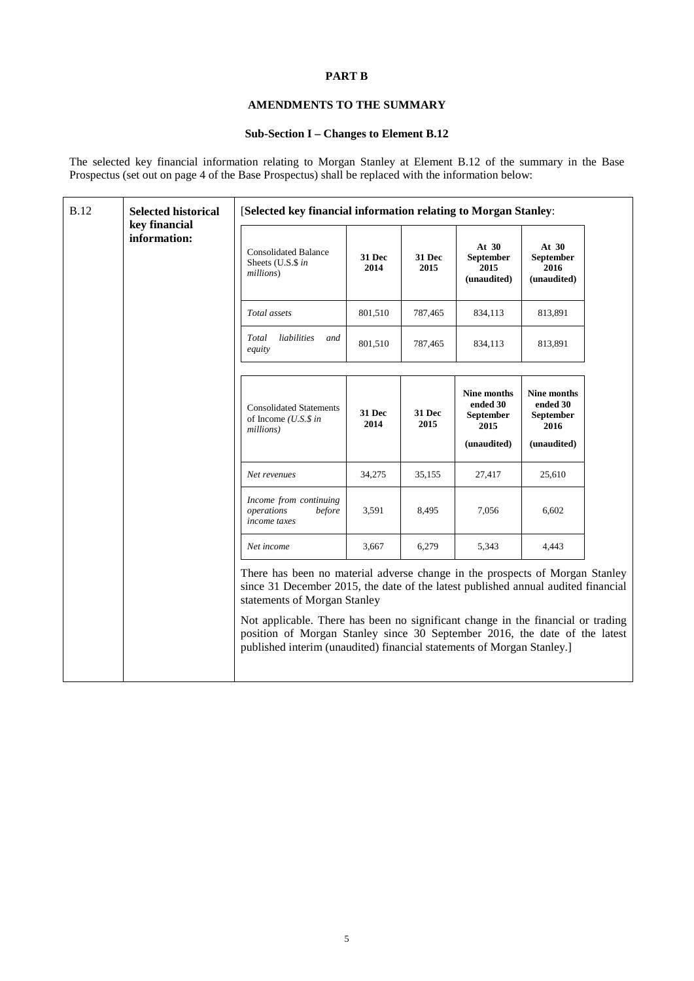## **PART B**

# **AMENDMENTS TO THE SUMMARY**

## **Sub-Section I – Changes to Element B.12**

The selected key financial information relating to Morgan Stanley at Element B.12 of the summary in the Base Prospectus (set out on page 4 of the Base Prospectus) shall be replaced with the information below:

| <b>B.12</b> | <b>Selected historical</b><br>key financial<br>information: | [Selected key financial information relating to Morgan Stanley:                                                                                                                                                                                                                                                                                                                                                                               |                |                |                                              |                                              |  |
|-------------|-------------------------------------------------------------|-----------------------------------------------------------------------------------------------------------------------------------------------------------------------------------------------------------------------------------------------------------------------------------------------------------------------------------------------------------------------------------------------------------------------------------------------|----------------|----------------|----------------------------------------------|----------------------------------------------|--|
|             |                                                             | <b>Consolidated Balance</b><br>Sheets (U.S.\$ in<br>millions)                                                                                                                                                                                                                                                                                                                                                                                 | 31 Dec<br>2014 | 31 Dec<br>2015 | At 30<br>September<br>2015<br>(unaudited)    | At $30$<br>September<br>2016<br>(unaudited)  |  |
|             |                                                             | Total assets                                                                                                                                                                                                                                                                                                                                                                                                                                  | 801,510        | 787,465        | 834,113                                      | 813,891                                      |  |
|             |                                                             | liabilities<br>Total<br>and<br>equity                                                                                                                                                                                                                                                                                                                                                                                                         | 801,510        | 787,465        | 834,113                                      | 813,891                                      |  |
|             |                                                             |                                                                                                                                                                                                                                                                                                                                                                                                                                               |                |                | Nine months                                  | Nine months                                  |  |
|             |                                                             | <b>Consolidated Statements</b><br>of Income (U.S. $\frac{1}{2}$ in<br>millions)                                                                                                                                                                                                                                                                                                                                                               | 31 Dec<br>2014 | 31 Dec<br>2015 | ended 30<br>September<br>2015<br>(unaudited) | ended 30<br>September<br>2016<br>(unaudited) |  |
|             |                                                             |                                                                                                                                                                                                                                                                                                                                                                                                                                               |                |                |                                              |                                              |  |
|             |                                                             | Net revenues                                                                                                                                                                                                                                                                                                                                                                                                                                  | 34,275         | 35,155         | 27,417                                       | 25,610                                       |  |
|             |                                                             | Income from continuing<br>operations<br>before<br>income taxes                                                                                                                                                                                                                                                                                                                                                                                | 3,591          | 8,495          | 7,056                                        | 6,602                                        |  |
|             |                                                             | Net income                                                                                                                                                                                                                                                                                                                                                                                                                                    | 3,667          | 6,279          | 5,343                                        | 4,443                                        |  |
|             |                                                             | There has been no material adverse change in the prospects of Morgan Stanley<br>since 31 December 2015, the date of the latest published annual audited financial<br>statements of Morgan Stanley<br>Not applicable. There has been no significant change in the financial or trading<br>position of Morgan Stanley since 30 September 2016, the date of the latest<br>published interim (unaudited) financial statements of Morgan Stanley.] |                |                |                                              |                                              |  |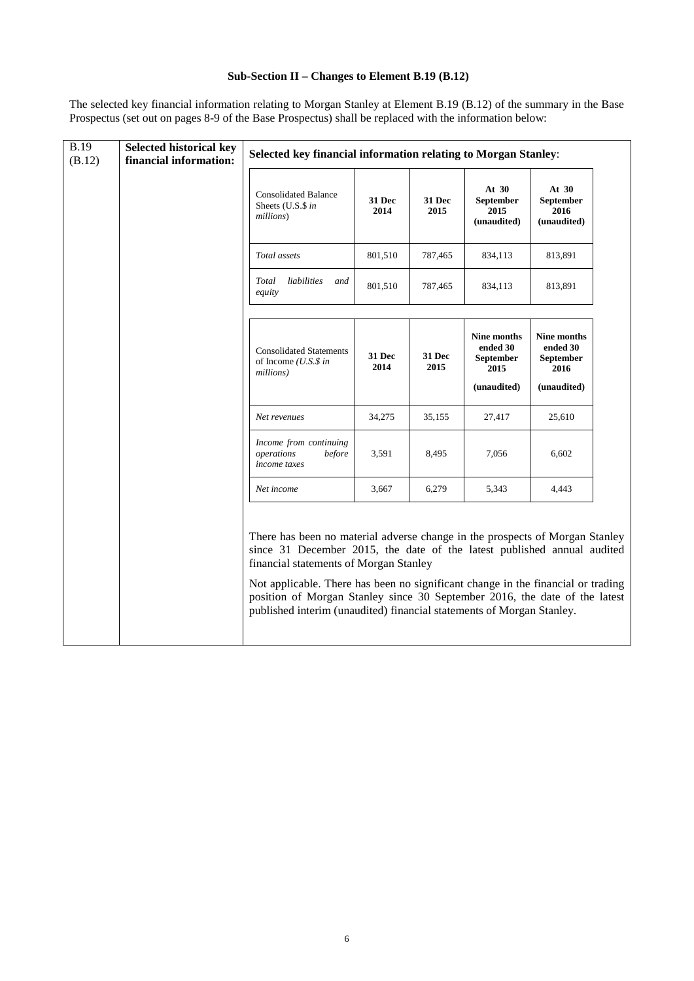## **Sub-Section II – Changes to Element B.19 (B.12)**

The selected key financial information relating to Morgan Stanley at Element B.19 (B.12) of the summary in the Base Prospectus (set out on pages 8-9 of the Base Prospectus) shall be replaced with the information below:

| <b>B.19</b><br>(B.12) | <b>Selected historical key</b><br>financial information: | Selected key financial information relating to Morgan Stanley:                                                                                                                                                                                                                                                                                                                                                                               |                |                |                                                             |                                                                    |
|-----------------------|----------------------------------------------------------|----------------------------------------------------------------------------------------------------------------------------------------------------------------------------------------------------------------------------------------------------------------------------------------------------------------------------------------------------------------------------------------------------------------------------------------------|----------------|----------------|-------------------------------------------------------------|--------------------------------------------------------------------|
|                       |                                                          | <b>Consolidated Balance</b><br>Sheets (U.S.\$ in<br>millions)                                                                                                                                                                                                                                                                                                                                                                                | 31 Dec<br>2014 | 31 Dec<br>2015 | At 30<br>September<br>2015<br>(unaudited)                   | At 30<br>September<br>2016<br>(unaudited)                          |
|                       |                                                          | Total assets                                                                                                                                                                                                                                                                                                                                                                                                                                 | 801,510        | 787,465        | 834,113                                                     | 813,891                                                            |
|                       |                                                          | Total<br>liabilities<br>and<br>equity                                                                                                                                                                                                                                                                                                                                                                                                        | 801,510        | 787,465        | 834,113                                                     | 813,891                                                            |
|                       |                                                          |                                                                                                                                                                                                                                                                                                                                                                                                                                              |                |                |                                                             |                                                                    |
|                       |                                                          | <b>Consolidated Statements</b><br>of Income (U.S. $\oint$ in<br>millions)                                                                                                                                                                                                                                                                                                                                                                    | 31 Dec<br>2014 | 31 Dec<br>2015 | Nine months<br>ended 30<br>September<br>2015<br>(unaudited) | <b>Nine months</b><br>ended 30<br>September<br>2016<br>(unaudited) |
|                       |                                                          | Net revenues                                                                                                                                                                                                                                                                                                                                                                                                                                 | 34,275         | 35,155         | 27,417                                                      | 25,610                                                             |
|                       |                                                          | Income from continuing<br>operations<br>before<br>income taxes                                                                                                                                                                                                                                                                                                                                                                               | 3,591          | 8,495          | 7,056                                                       | 6,602                                                              |
|                       |                                                          | Net income                                                                                                                                                                                                                                                                                                                                                                                                                                   | 3,667          | 6,279          | 5,343                                                       | 4,443                                                              |
|                       |                                                          | There has been no material adverse change in the prospects of Morgan Stanley<br>since 31 December 2015, the date of the latest published annual audited<br>financial statements of Morgan Stanley<br>Not applicable. There has been no significant change in the financial or trading<br>position of Morgan Stanley since 30 September 2016, the date of the latest<br>published interim (unaudited) financial statements of Morgan Stanley. |                |                |                                                             |                                                                    |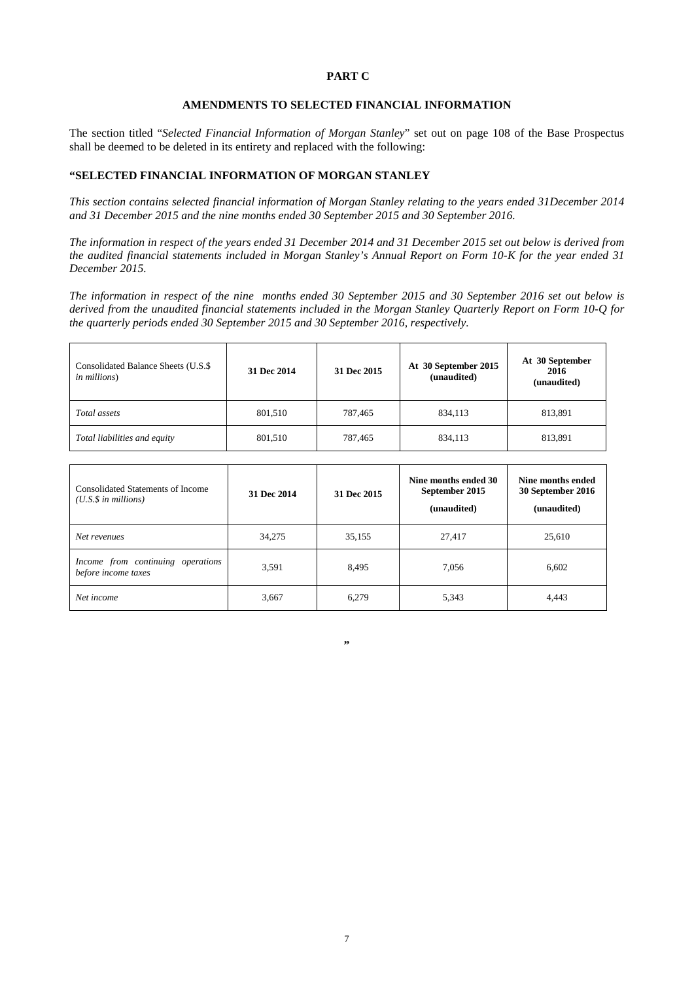#### **PART C**

#### **AMENDMENTS TO SELECTED FINANCIAL INFORMATION**

The section titled "*Selected Financial Information of Morgan Stanley*" set out on page 108 of the Base Prospectus shall be deemed to be deleted in its entirety and replaced with the following:

#### **"SELECTED FINANCIAL INFORMATION OF MORGAN STANLEY**

*This section contains selected financial information of Morgan Stanley relating to the years ended 31December 2014 and 31 December 2015 and the nine months ended 30 September 2015 and 30 September 2016.*

*The information in respect of the years ended 31 December 2014 and 31 December 2015 set out below is derived from the audited financial statements included in Morgan Stanley's Annual Report on Form 10-K for the year ended 31 December 2015.*

*The information in respect of the nine months ended 30 September 2015 and 30 September 2016 set out below is derived from the unaudited financial statements included in the Morgan Stanley Quarterly Report on Form 10-Q for the quarterly periods ended 30 September 2015 and 30 September 2016, respectively.*

| Consolidated Balance Sheets (U.S.\$<br><i>in millions</i> ) | 31 Dec 2014 | 31 Dec 2015 | At 30 September 2015<br>(unaudited) | At 30 September<br>2016<br>(unaudited) |
|-------------------------------------------------------------|-------------|-------------|-------------------------------------|----------------------------------------|
| Total assets                                                | 801,510     | 787,465     | 834,113                             | 813,891                                |
| Total liabilities and equity                                | 801,510     | 787,465     | 834,113                             | 813,891                                |

| <b>Consolidated Statements of Income</b><br>$(U.S.\$ \$ in millions) | 31 Dec 2014 | 31 Dec 2015 | Nine months ended 30<br>September 2015<br>(unaudited) | Nine months ended<br>30 September 2016<br>(unaudited) |
|----------------------------------------------------------------------|-------------|-------------|-------------------------------------------------------|-------------------------------------------------------|
| Net revenues                                                         | 34,275      | 35,155      | 27,417                                                | 25,610                                                |
| Income from continuing operations<br>before income taxes             | 3,591       | 8,495       | 7,056                                                 | 6,602                                                 |
| Net income                                                           | 3,667       | 6,279       | 5,343                                                 | 4,443                                                 |

**"**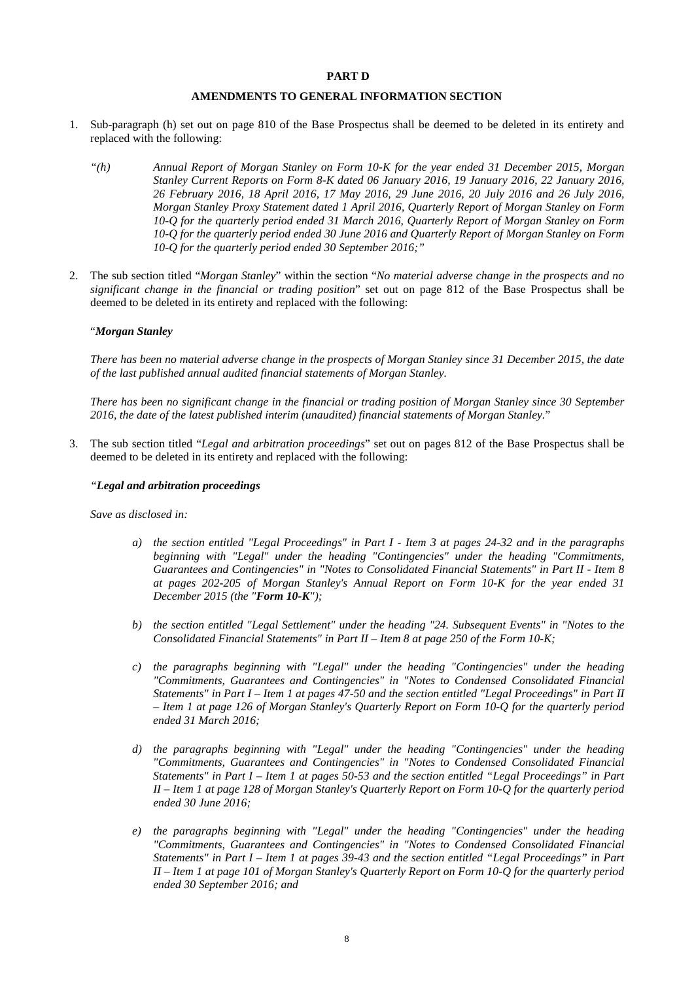#### **PART D**

## **AMENDMENTS TO GENERAL INFORMATION SECTION**

- 1. Sub-paragraph (h) set out on page 810 of the Base Prospectus shall be deemed to be deleted in its entirety and replaced with the following:
	- *"(h) Annual Report of Morgan Stanley on Form 10-K for the year ended 31 December 2015, Morgan Stanley Current Reports on Form 8-K dated 06 January 2016, 19 January 2016, 22 January 2016, 26 February 2016, 18 April 2016, 17 May 2016, 29 June 2016, 20 July 2016 and 26 July 2016, Morgan Stanley Proxy Statement dated 1 April 2016, Quarterly Report of Morgan Stanley on Form 10-Q for the quarterly period ended 31 March 2016, Quarterly Report of Morgan Stanley on Form 10-Q for the quarterly period ended 30 June 2016 and Quarterly Report of Morgan Stanley on Form 10-Q for the quarterly period ended 30 September 2016;"*
- 2. The sub section titled "*Morgan Stanley*" within the section "*No material adverse change in the prospects and no significant change in the financial or trading position*" set out on page 812 of the Base Prospectus shall be deemed to be deleted in its entirety and replaced with the following:

#### "*Morgan Stanley*

*There has been no material adverse change in the prospects of Morgan Stanley since 31 December 2015, the date of the last published annual audited financial statements of Morgan Stanley.*

*There has been no significant change in the financial or trading position of Morgan Stanley since 30 September 2016, the date of the latest published interim (unaudited) financial statements of Morgan Stanley.*"

3. The sub section titled "*Legal and arbitration proceedings*" set out on pages 812 of the Base Prospectus shall be deemed to be deleted in its entirety and replaced with the following:

#### *"Legal and arbitration proceedings*

*Save as disclosed in:*

- *a) the section entitled "Legal Proceedings" in Part I - Item 3 at pages 24-32 and in the paragraphs beginning with "Legal" under the heading "Contingencies" under the heading "Commitments, Guarantees and Contingencies" in "Notes to Consolidated Financial Statements" in Part II - Item 8 at pages 202-205 of Morgan Stanley's Annual Report on Form 10-K for the year ended 31 December 2015 (the "Form 10-K");*
- *b) the section entitled "Legal Settlement" under the heading "24. Subsequent Events" in "Notes to the Consolidated Financial Statements" in Part II – Item 8 at page 250 of the Form 10-K;*
- *c) the paragraphs beginning with "Legal" under the heading "Contingencies" under the heading "Commitments, Guarantees and Contingencies" in "Notes to Condensed Consolidated Financial Statements" in Part I – Item 1 at pages 47-50 and the section entitled "Legal Proceedings" in Part II – Item 1 at page 126 of Morgan Stanley's Quarterly Report on Form 10-Q for the quarterly period ended 31 March 2016;*
- *d) the paragraphs beginning with "Legal" under the heading "Contingencies" under the heading "Commitments, Guarantees and Contingencies" in "Notes to Condensed Consolidated Financial Statements" in Part I – Item 1 at pages 50-53 and the section entitled "Legal Proceedings" in Part II – Item 1 at page 128 of Morgan Stanley's Quarterly Report on Form 10-Q for the quarterly period ended 30 June 2016;*
- *e) the paragraphs beginning with "Legal" under the heading "Contingencies" under the heading "Commitments, Guarantees and Contingencies" in "Notes to Condensed Consolidated Financial Statements" in Part I – Item 1 at pages 39-43 and the section entitled "Legal Proceedings" in Part II – Item 1 at page 101 of Morgan Stanley's Quarterly Report on Form 10-Q for the quarterly period ended 30 September 2016; and*